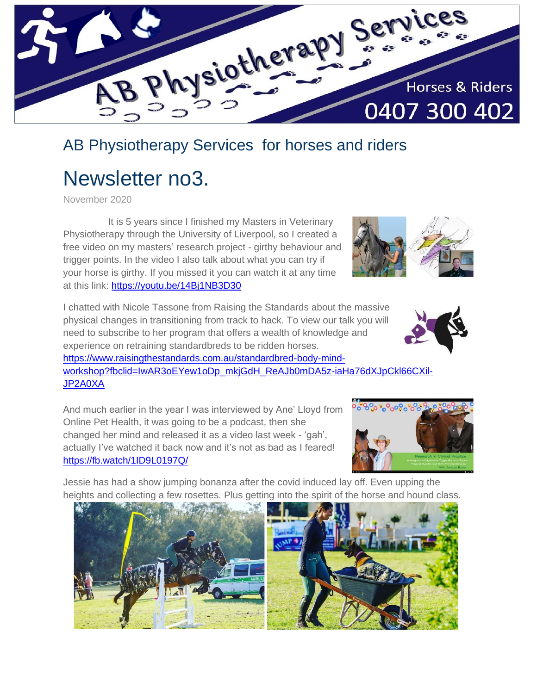

## AB Physiotherapy Services for horses and riders

# Newsletter no3.

November 2020

[JP2A0XA](https://www.raisingthestandards.com.au/standardbred-body-mind-workshop?fbclid=IwAR3oEYew1oDp_mkjGdH_ReAJb0mDA5z-iaHa76dXJpCkl66CXil-JP2A0XA) 

 It is 5 years since I finished my Masters in Veterinary Physiotherapy through the University of Liverpool, so I created a free video on my masters' research project - girthy behaviour and trigger points. In the video I also talk about what you can try if your horse is girthy. If you missed it you can watch it at any time at this link: <https://youtu.be/14Bj1NB3D30>

I chatted with Nicole Tassone from Raising the Standards about the massive physical changes in transitioning from track to hack. To view our talk you will need to subscribe to her program that offers a wealth of knowledge and experience on retraining standardbreds to be ridden horses. [https://www.raisingthestandards.com.au/standardbred-body-mind](https://www.raisingthestandards.com.au/standardbred-body-mind-workshop?fbclid=IwAR3oEYew1oDp_mkjGdH_ReAJb0mDA5z-iaHa76dXJpCkl66CXil-JP2A0XA)[workshop?fbclid=IwAR3oEYew1oDp\\_mkjGdH\\_ReAJb0mDA5z-iaHa76dXJpCkl66CXil-](https://www.raisingthestandards.com.au/standardbred-body-mind-workshop?fbclid=IwAR3oEYew1oDp_mkjGdH_ReAJb0mDA5z-iaHa76dXJpCkl66CXil-JP2A0XA)



And much earlier in the year I was interviewed by Ane' Lloyd from Online Pet Health, it was going to be a podcast, then she changed her mind and released it as a video last week - 'gah', actually I've watched it back now and it's not as bad as I feared! <https://fb.watch/1ID9L0197Q/>



Jessie has had a show jumping bonanza after the covid induced lay off. Even upping the heights and collecting a few rosettes. Plus getting into the spirit of the horse and hound class.

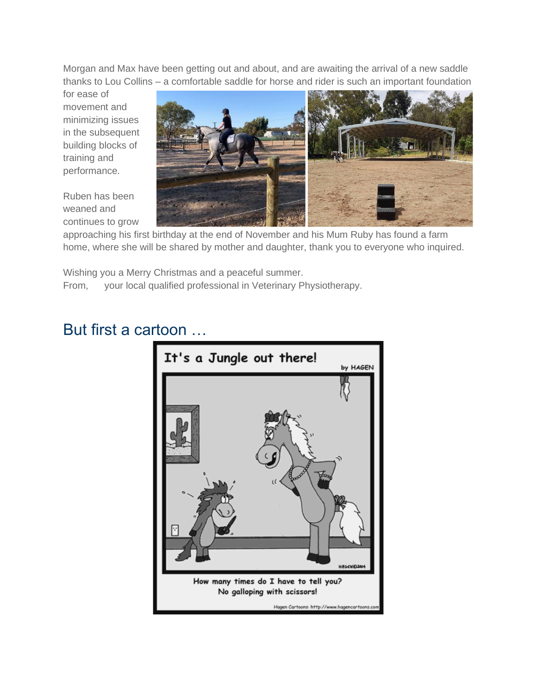Morgan and Max have been getting out and about, and are awaiting the arrival of a new saddle thanks to Lou Collins – a comfortable saddle for horse and rider is such an important foundation

for ease of movement and minimizing issues in the subsequent building blocks of training and performance.

Ruben has been weaned and continues to grow



approaching his first birthday at the end of November and his Mum Ruby has found a farm home, where she will be shared by mother and daughter, thank you to everyone who inquired.

Wishing you a Merry Christmas and a peaceful summer. From, your local qualified professional in Veterinary Physiotherapy.

### But first a cartoon …

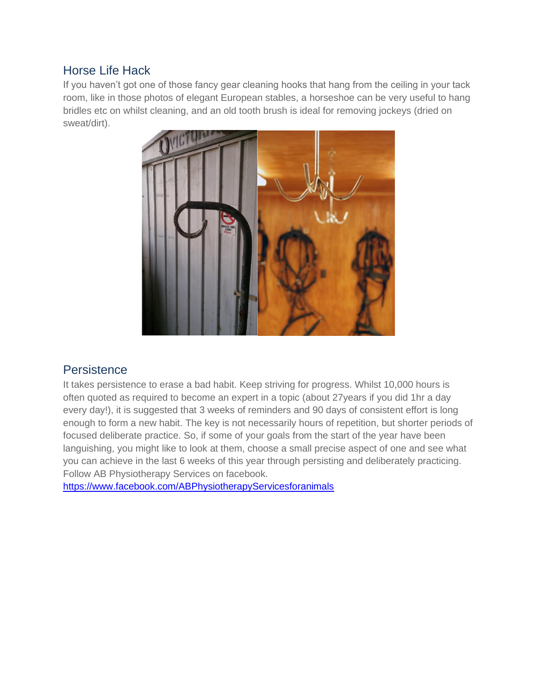#### Horse Life Hack

If you haven't got one of those fancy gear cleaning hooks that hang from the ceiling in your tack room, like in those photos of elegant European stables, a horseshoe can be very useful to hang bridles etc on whilst cleaning, and an old tooth brush is ideal for removing jockeys (dried on sweat/dirt).



#### **Persistence**

It takes persistence to erase a bad habit. Keep striving for progress. Whilst 10,000 hours is often quoted as required to become an expert in a topic (about 27years if you did 1hr a day every day!), it is suggested that 3 weeks of reminders and 90 days of consistent effort is long enough to form a new habit. The key is not necessarily hours of repetition, but shorter periods of focused deliberate practice. So, if some of your goals from the start of the year have been languishing, you might like to look at them, choose a small precise aspect of one and see what you can achieve in the last 6 weeks of this year through persisting and deliberately practicing. Follow AB Physiotherapy Services on facebook.

<https://www.facebook.com/ABPhysiotherapyServicesforanimals>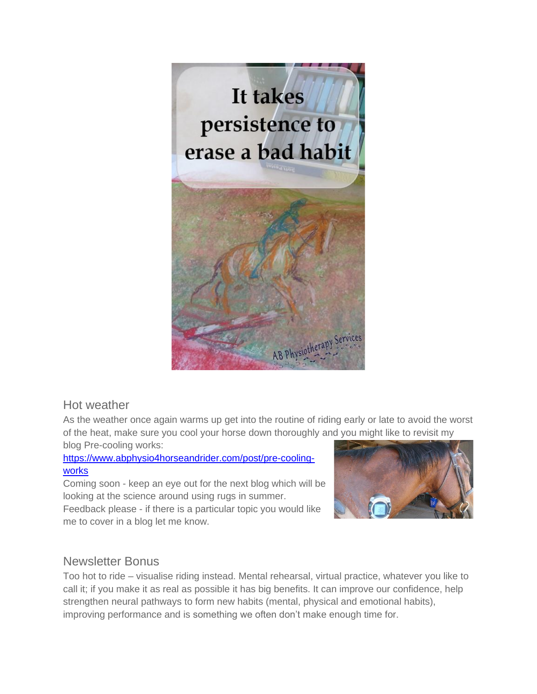

#### Hot weather

As the weather once again warms up get into the routine of riding early or late to avoid the worst of the heat, make sure you cool your horse down thoroughly and you might like to revisit my blog Pre-cooling works:

#### [https://www.abphysio4horseandrider.com/post/pre-cooling](https://www.abphysio4horseandrider.com/post/pre-cooling-works)[works](https://www.abphysio4horseandrider.com/post/pre-cooling-works)

Coming soon - keep an eye out for the next blog which will be looking at the science around using rugs in summer.

Feedback please - if there is a particular topic you would like me to cover in a blog let me know.



#### Newsletter Bonus

Too hot to ride – visualise riding instead. Mental rehearsal, virtual practice, whatever you like to call it; if you make it as real as possible it has big benefits. It can improve our confidence, help strengthen neural pathways to form new habits (mental, physical and emotional habits), improving performance and is something we often don't make enough time for.